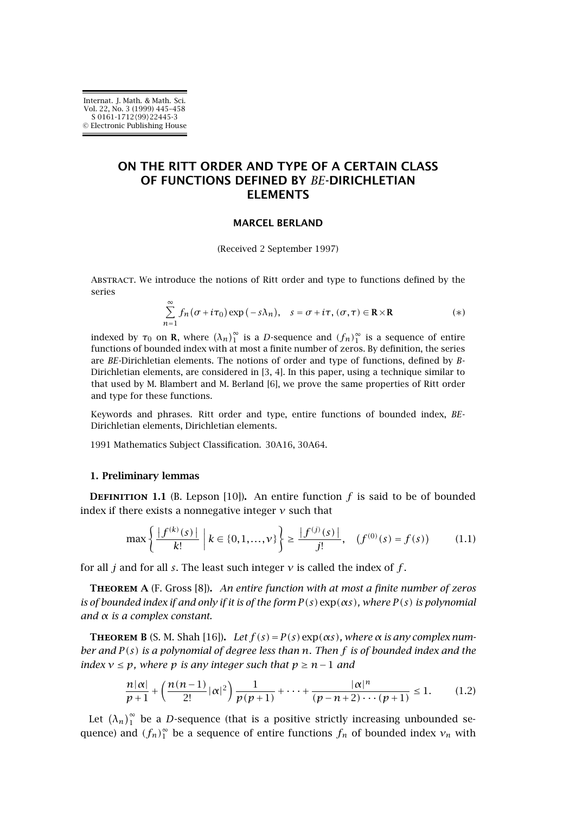# <span id="page-0-0"></span>**ON THE RITT ORDER AND TYPE OF A CERTAIN CLASS OF FUNCTIONS DEFINED BY** *BE***-DIRICHLETIAN ELEMENTS**

### **MARCEL BERLAND**

(Received 2 September 1997)

Abstract. We introduce the notions of Ritt order and type to functions defined by the series

$$
\sum_{n=1}^{\infty} f_n(\sigma + i\tau_0) \exp(-s\lambda_n), \quad s = \sigma + i\tau, (\sigma, \tau) \in \mathbf{R} \times \mathbf{R}
$$
 (\*)

indexed by  $\tau_0$  on **R**, where  $(\lambda_n)_1^{\infty}$  is a *D*-sequence and  $(f_n)_1^{\infty}$  is a sequence of entire functions of bounded index with at most a finite number of zeros. By definition, the series are *BE*-Dirichletian elements. The notions of order and type of functions, defined by *B*-Dirichletian elements, are considered in [\[3, 4\]](#page-12-0). In this paper, using a technique similar to that used by M. Blambert and M. Berland [\[6\]](#page-12-0), we prove the same properties of Ritt order and type for these functions.

Keywords and phrases. Ritt order and type, entire functions of bounded index, *BE*-Dirichletian elements, Dirichletian elements.

1991 Mathematics Subject Classification. 30A16, 30A64.

#### **1. Preliminary lemmas**

**DEFINITION** 1.1 (B. Lepson [\[10\]](#page-12-0)). An entire function  $f$  is said to be of bounded index if there exists a nonnegative integer *ν* such that

$$
\max\left\{\frac{|f^{(k)}(s)|}{k!}\; \middle| \; k \in \{0, 1, \dots, \nu\}\right\} \ge \frac{|f^{(j)}(s)|}{j!}, \quad (f^{(0)}(s) = f(s)) \tag{1.1}
$$

for all *j* and for all *s*. The least such integer *ν* is called the index of *f* .

**Theorem A** (F. Gross [\[8\]](#page-12-0))**.** *An entire function with at most a finite number of zeros is of bounded index if and only if it is of the form*  $P(s)$  exp $(\alpha s)$ *, where*  $P(s)$  *is polynomial and α is a complex constant.*

**THEOREM B** (S. M. Shah [\[16\]](#page-13-0)). Let  $f(s) = P(s) \exp(\alpha s)$ , where  $\alpha$  is any complex num*ber and P (s) is a polynomial of degree less than n. Then f is of bounded index and the index*  $v \leq p$ *, where*  $p$  *is any integer such that*  $p \geq n-1$  *and* 

$$
\frac{n|\alpha|}{p+1} + \left(\frac{n(n-1)}{2!}|\alpha|^2\right)\frac{1}{p(p+1)} + \dots + \frac{|\alpha|^n}{(p-n+2)\cdots(p+1)} \le 1.
$$
 (1.2)

Let  $(\lambda_n)_1^\infty$  be a *D*-sequence (that is a positive strictly increasing unbounded sequence) and  $(f_n)_1^{\infty}$  be a sequence of entire functions  $f_n$  of bounded index  $v_n$  with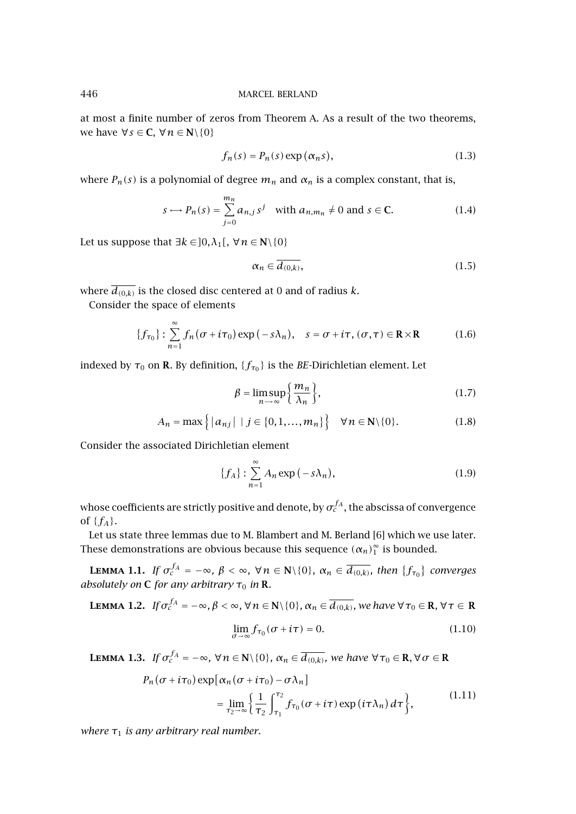at most a finite number of zeros from [Theorem A.](#page-0-0) As a result of the two theorems, we have  $\forall s \in \mathbb{C}, \forall n \in \mathbb{N} \setminus \{0\}$ 

$$
f_n(s) = P_n(s) \exp(\alpha_n s), \qquad (1.3)
$$

where  $P_n(s)$  is a polynomial of degree  $m_n$  and  $\alpha_n$  is a complex constant, that is,

$$
s \longrightarrow P_n(s) = \sum_{j=0}^{m_n} a_{n,j} s^j \quad \text{with } a_{n,m_n} \neq 0 \text{ and } s \in \mathbf{C}.\tag{1.4}
$$

Let us suppose that  $\exists k \in ]0, \lambda_1[$ ,  $\forall n \in \mathbb{N} \setminus \{0\}$ 

$$
\alpha_n \in \overline{d_{(0,k)}},\tag{1.5}
$$

where  $\overline{d_{(0,k)}}$  is the closed disc centered at 0 and of radius *k*.

Consider the space of elements

$$
\{f_{\tau_0}\}: \sum_{n=1}^{\infty} f_n(\sigma + i\tau_0) \exp(-s\lambda_n), \quad s = \sigma + i\tau, (\sigma, \tau) \in \mathbb{R} \times \mathbb{R}
$$
 (1.6)

indexed by  $\tau_0$  on **R***.* By definition, { $f_{\tau_0}$ } is the *BE*-Dirichletian element. Let

$$
\beta = \limsup_{n \to \infty} \left\{ \frac{m_n}{\lambda_n} \right\},\tag{1.7}
$$

$$
A_n = \max\left\{ |a_{nj}| \mid j \in \{0, 1, \dots, m_n\} \right\} \quad \forall n \in \mathbb{N} \setminus \{0\}.
$$
 (1.8)

Consider the associated Dirichletian element

$$
\{f_A\} : \sum_{n=1}^{\infty} A_n \exp(-s\lambda_n), \tag{1.9}
$$

whose coefficients are strictly positive and denote, by  $\sigma_c^{f_A}$ , the abscissa of convergence of  ${f_A}$ .

Let us state three lemmas due to M. Blambert and M. Berland [\[6\]](#page-12-0) which we use later. These demonstrations are obvious because this sequence  $(\alpha_n)_1^{\infty}$  is bounded.

**LEMMA 1.1.** *If*  $\sigma_c^{f_A} = -\infty$ ,  $\beta < \infty$ ,  $\forall n \in \mathbb{N}\setminus\{0\}$ ,  $\alpha_n \in \overline{d_{(0,k)}},$  then  $\{f_{\tau_0}\}$  converges *absolutely on* **C** *for any arbitrary*  $\tau_0$  *in* **R**.

**LEMMA 1.2.** If 
$$
\sigma_c^{fA} = -\infty
$$
,  $\beta < \infty$ ,  $\forall n \in \mathbb{N} \setminus \{0\}$ ,  $\alpha_n \in \overline{d_{(0,k)}}$ , we have  $\forall \tau_0 \in \mathbb{R}$ ,  $\forall \tau \in \mathbb{R}$   

$$
\lim_{\sigma \to \infty} f_{\tau_0}(\sigma + i\tau) = 0.
$$
 (1.10)

**LEMMA 1.3.** *If*  $\sigma_c^{f_A} = -\infty$ ,  $\forall n \in \mathbb{N} \setminus \{0\}$ ,  $\alpha_n \in \overline{d_{(0,k)}}$ , we have  $\forall \tau_0 \in \mathbb{R}, \forall \sigma \in \mathbb{R}$ 

$$
P_n(\sigma + i\tau_0) \exp[\alpha_n(\sigma + i\tau_0) - \sigma \lambda_n]
$$
  
= 
$$
\lim_{\tau_2 \to \infty} \left\{ \frac{1}{\tau_2} \int_{\tau_1}^{\tau_2} f_{\tau_0}(\sigma + i\tau) \exp(i\tau \lambda_n) d\tau \right\},
$$
 (1.11)

*where*  $\tau_1$  *is any arbitrary real number.* 

<span id="page-1-0"></span>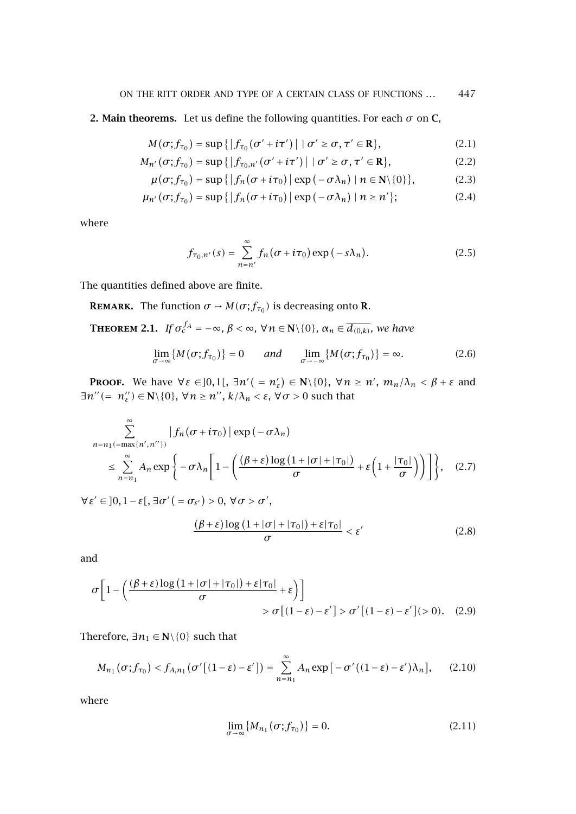## <span id="page-2-0"></span>**2. Main theorems.** Let us define the following quantities. For each  $\sigma$  on **C**,

$$
M(\sigma; f_{\tau_0}) = \sup\left\{ \left| f_{\tau_0}(\sigma' + i\tau') \right| \mid \sigma' \ge \sigma, \tau' \in \mathbf{R} \right\},\tag{2.1}
$$

$$
M_{n'}(\sigma; f_{\tau_0}) = \sup\left\{ \left| f_{\tau_0, n'}(\sigma' + i\tau') \right| \mid \sigma' \ge \sigma, \tau' \in \mathbf{R} \right\},\tag{2.2}
$$

$$
\mu(\sigma; f_{\tau_0}) = \sup\{|f_n(\sigma + i\tau_0)| \exp(-\sigma \lambda_n) | n \in \mathbb{N} \setminus \{0\}\},\tag{2.3}
$$

$$
\mu_{n'}(\sigma; f_{\tau_0}) = \sup\left\{ \left| f_n(\sigma + i\tau_0) \right| \exp\left( -\sigma \lambda_n \right) \mid n \ge n' \right\};\tag{2.4}
$$

where

$$
f_{\tau_0,n'}(s) = \sum_{n=n'}^{\infty} f_n(\sigma + i\tau_0) \exp(-s\lambda_n).
$$
 (2.5)

The quantities defined above are finite.

**REMARK.** The function  $\sigma \mapsto M(\sigma; f_{\tau_0})$  is decreasing onto **R**.

**THEOREM 2.1.** *If*  $\sigma_c^{f_A} = -\infty$ ,  $\beta < \infty$ ,  $\forall n \in \mathbb{N} \setminus \{0\}$ ,  $\alpha_n \in \overline{d_{(0,k)}}$ , we have

$$
\lim_{\sigma \to \infty} \{ M(\sigma; f_{\tau_0}) \} = 0 \qquad \text{and} \qquad \lim_{\sigma \to -\infty} \{ M(\sigma; f_{\tau_0}) \} = \infty. \tag{2.6}
$$

**Proof.** We have  $\forall \varepsilon \in ]0,1[$ ,  $\exists n'$  ( $= n'_{\varepsilon}$ )  $\in \mathbb{N} \setminus \{0\}$ ,  $\forall n \geq n'$ ,  $m_n/\lambda_n < \beta + \varepsilon$  and  $\exists n'' (= n''_s) \in \mathbb{N} \setminus \{0\}, \forall n \geq n''$ ,  $k/\lambda_n < \varepsilon, \forall \sigma > 0$  such that

$$
\sum_{n=n_1(\text{max}\{n',n''\})}^{\infty} |f_n(\sigma+i\tau_0)| \exp(-\sigma \lambda_n)
$$
\n
$$
\leq \sum_{n=n_1}^{\infty} A_n \exp\left\{-\sigma \lambda_n \left[1-\left(\frac{(\beta+\varepsilon)\log\left(1+|\sigma|+|\tau_0|\right)}{\sigma}+\varepsilon\left(1+\frac{|\tau_0|}{\sigma}\right)\right)\right]\right\}, \quad (2.7)
$$

 $\forall \varepsilon' \in ]0, 1-\varepsilon[, \exists \sigma' ( = \sigma_{\varepsilon'}) > 0, \forall \sigma > \sigma',$ 

$$
\frac{(\beta + \varepsilon) \log \left(1 + |\sigma| + |\tau_0|\right) + \varepsilon |\tau_0|}{\sigma} < \varepsilon' \tag{2.8}
$$

and

$$
\sigma \left[ 1 - \left( \frac{(\beta + \varepsilon) \log \left( 1 + |\sigma| + |\tau_0| \right) + \varepsilon |\tau_0|}{\sigma} + \varepsilon \right) \right] \right] \quad \text{or} \quad [\left( 1 - \varepsilon \right) - \varepsilon'] > \sigma' \left[ (1 - \varepsilon) - \varepsilon' \right] > 0. \tag{2.9}
$$

Therefore,  $\exists n_1 \in \mathbb{N} \setminus \{0\}$  such that

$$
M_{n_1}(\sigma; f_{\tau_0}) < f_{A,n_1}(\sigma'[(1-\varepsilon)-\varepsilon']) = \sum_{n=n_1}^{\infty} A_n \exp\big[-\sigma'((1-\varepsilon)-\varepsilon')\lambda_n\big],\tag{2.10}
$$

where

$$
\lim_{\sigma \to \infty} \{ M_{n_1}(\sigma; f_{\tau_0}) \} = 0. \tag{2.11}
$$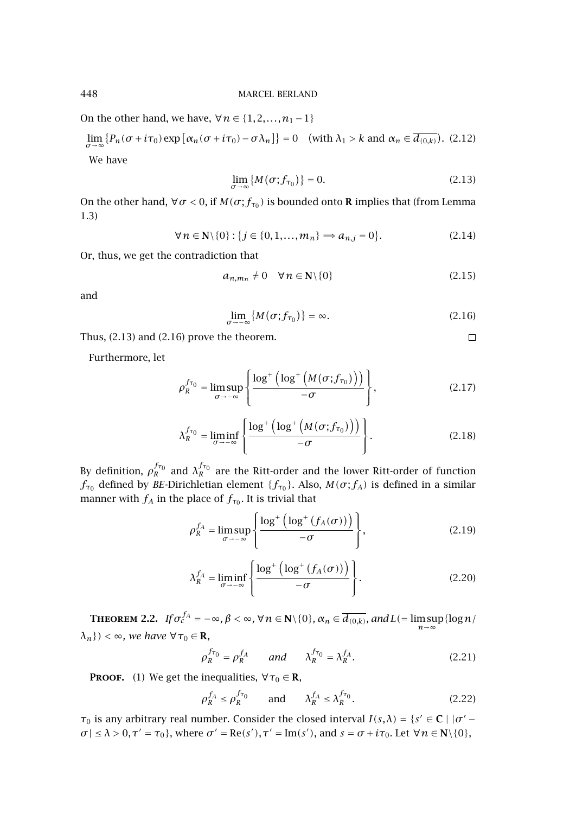On the other hand, we have,  $∀n ∈ {1, 2, ..., n<sub>1</sub> − 1}$ 

 $\lim_{\sigma \to \infty} \{ P_n(\sigma + i\tau_0) \exp \{ \alpha_n(\sigma + i\tau_0) - \sigma \lambda_n \} \} = 0$  (with  $\lambda_1 > k$  and  $\alpha_n \in d_{(0,k)}$ ). (2.12)

We have

$$
\lim_{\sigma \to \infty} \{ M(\sigma; f_{\tau_0}) \} = 0. \tag{2.13}
$$

On the other hand,  $\forall \sigma < 0$ , if  $M(\sigma; f_{\tau_0})$  is bounded onto **R** implies that (from [Lemma](#page-1-0) [1.3\)](#page-1-0)

$$
\forall n \in \mathbf{N} \setminus \{0\} : \{j \in \{0, 1, \dots, m_n\} \Rightarrow a_{n,j} = 0\}.
$$
\n(2.14)

Or, thus, we get the contradiction that

$$
a_{n,m_n} \neq 0 \quad \forall n \in \mathbb{N} \setminus \{0\} \tag{2.15}
$$

and

$$
\lim_{\sigma \to -\infty} \{ M(\sigma; f_{\tau_0}) \} = \infty. \tag{2.16}
$$

 $\Box$ 

Thus, (2.13) and (2.16) prove the theorem.

Furthermore, let

$$
\rho_R^{f_{\tau_0}} = \limsup_{\sigma \to -\infty} \left\{ \frac{\log^+ \left( \log^+ \left( M(\sigma; f_{\tau_0}) \right) \right)}{-\sigma} \right\},\tag{2.17}
$$

$$
\lambda_R^{f_{\tau_0}} = \liminf_{\sigma \to -\infty} \left\{ \frac{\log^+ \left( \log^+ \left( M(\sigma; f_{\tau_0}) \right) \right)}{-\sigma} \right\}.
$$
\n(2.18)

By definition,  $\rho_R^{f_{\tau_0}}$  and  $\lambda_R^{f_{\tau_0}}$  are the Ritt-order and the lower Ritt-order of function *f*<sub>τ<sub>0</sub></sub> defined by *BE*-Dirichletian element { $f_{\tau_0}$ }. Also, *M*( $\sigma$ ; $f_A$ ) is defined in a similar manner with  $f_A$  in the place of  $f_{\tau_0}$ . It is trivial that

$$
\rho_R^{f_A} = \limsup_{\sigma \to -\infty} \left\{ \frac{\log^+ \left( \log^+ \left( f_A(\sigma) \right) \right)}{-\sigma} \right\},\tag{2.19}
$$

$$
\lambda_R^{f_A} = \liminf_{\sigma \to -\infty} \left\{ \frac{\log^+ \left( \log^+ \left( f_A(\sigma) \right) \right)}{-\sigma} \right\}.
$$
 (2.20)

**THEOREM 2.2.** *If*  $\sigma_c^{f_A} = -\infty$ ,  $\beta < \infty$ ,  $\forall n \in \mathbb{N} \setminus \{0\}$ ,  $\alpha_n \in \overline{d_{(0,k)}}$ , and  $L(=\limsup_{n \to \infty} \{\log n/\sqrt{n}\})$  $\{\lambda_n\}$ ) <  $\infty$ *, we have*  $\forall \tau_0 \in \mathbb{R}$ *,* 

$$
\rho_R^{f_{\tau_0}} = \rho_R^{f_A} \qquad \text{and} \qquad \lambda_R^{f_{\tau_0}} = \lambda_R^{f_A}.
$$
 (2.21)

**PROOF.** (1) We get the inequalities,  $\forall \tau_0 \in \mathbb{R}$ ,

$$
\rho_R^{f_A} \le \rho_R^{f_{\tau_0}} \qquad \text{and} \qquad \lambda_R^{f_A} \le \lambda_R^{f_{\tau_0}}.
$$

*τ*<sub>0</sub> is any arbitrary real number. Consider the closed interval  $I(s, \lambda) = \{s' \in \mathbb{C} \mid |\sigma' - \sigma'| \}$  $\sigma$ |  $\leq \lambda > 0$ ,  $\tau' = \tau_0$ }, where  $\sigma' = \text{Re}(s'), \tau' = \text{Im}(s'),$  and  $s = \sigma + i\tau_0$ . Let  $\forall n \in \mathbb{N} \setminus \{0\}$ ,

<span id="page-3-0"></span>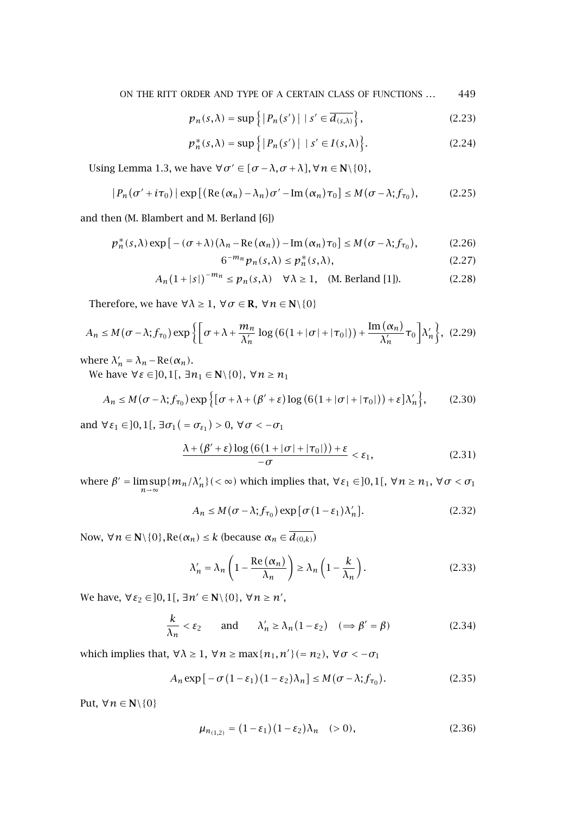ON THE RITT ORDER AND TYPE OF A CERTAIN CLASS OF FUNCTIONS *...* 449

$$
p_n(s,\lambda) = \sup\left\{ |P_n(s')| \mid s' \in \overline{d_{(s,\lambda)}} \right\},\tag{2.23}
$$

$$
p_n^*(s,\lambda) = \sup\Big\{ |P_n(s')| \mid s' \in I(s,\lambda) \Big\}.
$$
 (2.24)

Using [Lemma 1.3,](#page-1-0) we have  $\forall \sigma \in [\sigma - \lambda, \sigma + \lambda], \forall n \in \mathbb{N} \setminus \{0\},\$ 

$$
|P_n(\sigma' + i\tau_0)| \exp\left[\left(\text{Re}\left(\alpha_n\right) - \lambda_n\right)\sigma' - \text{Im}\left(\alpha_n\right)\tau_0\right] \leq M(\sigma - \lambda; f_{\tau_0}),\tag{2.25}
$$

and then (M. Blambert and M. Berland [\[6\]](#page-12-0))

$$
p_n^*(s,\lambda)\exp\left[-(\sigma+\lambda)\left(\lambda_n-\text{Re}\left(\alpha_n\right)\right)-\text{Im}\left(\alpha_n\right)\tau_0\right]\leq M(\sigma-\lambda;f_{\tau_0}),\tag{2.26}
$$

$$
6^{-m_n} p_n(s,\lambda) \le p_n^*(s,\lambda),\tag{2.27}
$$

$$
A_n(1+|s|)^{-m_n} \le p_n(s,\lambda) \quad \forall \lambda \ge 1, \quad (\text{M. Berland [1]}).
$$
 (2.28)

Therefore, we have  $\forall \lambda \geq 1$ ,  $\forall \sigma \in \mathbb{R}$ ,  $\forall n \in \mathbb{N} \setminus \{0\}$ 

$$
A_n \le M(\sigma - \lambda; f_{\tau_0}) \exp\left\{ \left[ \sigma + \lambda + \frac{m_n}{\lambda'_n} \log \left( 6(1 + |\sigma| + |\tau_0|) \right) + \frac{\text{Im}(\alpha_n)}{\lambda'_n} \tau_0 \right] \lambda'_n \right\}, (2.29)
$$

where  $\lambda'_n = \lambda_n - \text{Re}(\alpha_n)$ .

We have  $\forall \varepsilon \in ]0,1[$ ,  $\exists n_1 \in \mathbb{N} \setminus \{0\}$ ,  $\forall n \geq n_1$ 

$$
A_n \le M(\sigma - \lambda; f_{\tau_0}) \exp\left\{ \left[ \sigma + \lambda + (\beta' + \varepsilon) \log \left( 6(1 + |\sigma| + |\tau_0|) \right) + \varepsilon \right] \lambda'_n \right\},\tag{2.30}
$$

and  $\forall \varepsilon_1 \in ]0,1[$ ,  $\exists \sigma_1 ( = \sigma_{\varepsilon_1}) > 0$ ,  $\forall \sigma < -\sigma_1$ 

$$
\frac{\lambda + (\beta' + \varepsilon) \log (6(1 + |\sigma| + |\tau_0|)) + \varepsilon}{-\sigma} < \varepsilon_1,\tag{2.31}
$$

where  $\beta' = \limsup_{n \to \infty} \{m_n/\lambda'_n\}$  (<  $\infty$ ) which implies that,  $\forall \varepsilon_1 \in ]0,1[$ ,  $\forall n \ge n_1$ ,  $\forall \sigma < \sigma_1$ 

$$
A_n \le M(\sigma - \lambda; f_{\tau_0}) \exp [\sigma (1 - \varepsilon_1) \lambda'_n]. \tag{2.32}
$$

Now,  $\forall n \in \mathbb{N} \setminus \{0\}, \text{Re}(\alpha_n) \leq k \text{ (because } \alpha_n \in \overline{d_{(0,k)}}\text{)}$ 

$$
\lambda_n' = \lambda_n \left( 1 - \frac{\text{Re}\left(\alpha_n\right)}{\lambda_n} \right) \ge \lambda_n \left( 1 - \frac{k}{\lambda_n} \right). \tag{2.33}
$$

We have,  $\forall \varepsilon_2 \in ]0,1[$ ,  $\exists n' \in \mathbb{N} \setminus \{0\}$ ,  $\forall n \geq n'$ ,

$$
\frac{k}{\lambda_n} < \varepsilon_2 \qquad \text{and} \qquad \lambda'_n \ge \lambda_n (1 - \varepsilon_2) \quad (\Rightarrow \beta' = \beta) \tag{2.34}
$$

which implies that,  $\forall \lambda \geq 1$ ,  $\forall n \geq \max\{n_1, n'\}$  (= *n*<sub>2</sub>),  $\forall \sigma < -\sigma_1$ 

$$
A_n \exp\left[-\sigma(1-\varepsilon_1)(1-\varepsilon_2)\lambda_n\right] \le M(\sigma-\lambda;f_{\tau_0}).\tag{2.35}
$$

Put,  $\forall n \in \mathbb{N} \backslash \{0\}$ 

$$
\mu_{n_{(1,2)}} = (1 - \varepsilon_1)(1 - \varepsilon_2)\lambda_n \quad (> 0), \tag{2.36}
$$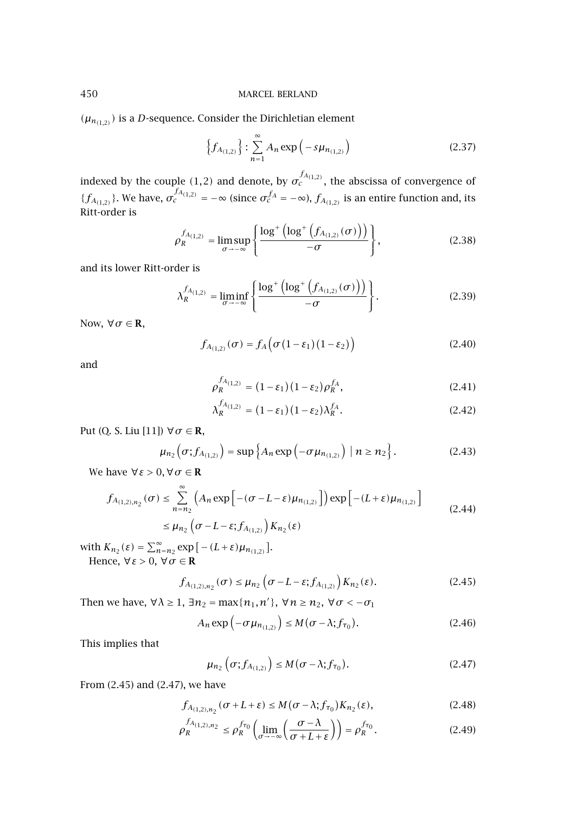$(\mu_{n(1,2)})$  is a *D*-sequence. Consider the Dirichletian element

$$
\left\{f_{A_{(1,2)}}\right\} : \sum_{n=1}^{\infty} A_n \exp\left(-s\mu_{n_{(1,2)}}\right) \tag{2.37}
$$

indexed by the couple  $(1,2)$  and denote, by  $\sigma_c^{f_{A_{(1,2)}}}$ , the abscissa of convergence of  ${f_{A_{(1,2)}}}.$  We have,  $\sigma_c^{f_{A_{(1,2)}}} = -\infty$  (since  $\sigma_c^{f_A} = -\infty$ ),  $f_{A_{(1,2)}}$  is an entire function and, its Ritt-order is

$$
\rho_R^{f_{A_{(1,2)}}} = \limsup_{\sigma \to -\infty} \left\{ \frac{\log^+ \left( \log^+ \left( f_{A_{(1,2)}}(\sigma) \right) \right)}{-\sigma} \right\},\tag{2.38}
$$

and its lower Ritt-order is

$$
\lambda_R^{f_{A_{(1,2)}}} = \liminf_{\sigma \to -\infty} \left\{ \frac{\log^+ \left( \log^+ \left( f_{A_{(1,2)}}(\sigma) \right) \right)}{-\sigma} \right\}.
$$
 (2.39)

Now,  $\forall \sigma \in \mathbb{R}$ ,

$$
f_{A_{(1,2)}}(\sigma) = f_A\big(\sigma\left(1 - \varepsilon_1\right)\left(1 - \varepsilon_2\right)\big) \tag{2.40}
$$

and

$$
\rho_R^{f_{A_{(1,2)}}} = (1 - \varepsilon_1)(1 - \varepsilon_2)\rho_R^{f_A},\tag{2.41}
$$

$$
\lambda_R^{f_{A_{(1,2)}}} = (1 - \varepsilon_1)(1 - \varepsilon_2)\lambda_R^{f_A}.\tag{2.42}
$$

Put (Q. S. Liu [\[11\]](#page-13-0))  $\forall \sigma \in \mathbf{R}$ ,

$$
\mu_{n_2}\big(\sigma;f_{A_{(1,2)}}\big) = \sup\Big\{A_n\exp\big(-\sigma\mu_{n_{(1,2)}}\big)\,\big|\,n\geq n_2\Big\}\,. \tag{2.43}
$$

We have  $\forall \varepsilon > 0, \forall \sigma \in \mathbb{R}$ 

$$
f_{A_{(1,2),n_2}}(\sigma) \leq \sum_{n=n_2}^{\infty} \left( A_n \exp\left[ -(\sigma - L - \varepsilon) \mu_{n_{(1,2)}} \right] \right) \exp\left[ - (L + \varepsilon) \mu_{n_{(1,2)}} \right]
$$
  

$$
\leq \mu_{n_2} \left( \sigma - L - \varepsilon; f_{A_{(1,2)}} \right) K_{n_2}(\varepsilon)
$$
 (2.44)

with  $K_{n_2}(\varepsilon) = \sum_{n=n_2}^{\infty} \exp\big[-(L+\varepsilon)\mu_{n_{(1,2)}}\big].$ Hence,  $\forall \varepsilon > 0$ ,  $\forall \sigma \in \mathbb{R}$ 

$$
f_{A_{(1,2),n_2}}(\sigma) \le \mu_{n_2} \left( \sigma - L - \varepsilon; f_{A_{(1,2)}} \right) K_{n_2}(\varepsilon). \tag{2.45}
$$

Then we have,  $\forall \lambda \geq 1$ ,  $\exists n_2 = \max\{n_1, n'\}, \forall n \geq n_2, \forall \sigma < -\sigma_1$ 

$$
A_n \exp\left(-\sigma \mu_{n_{(1,2)}}\right) \le M(\sigma - \lambda; f_{\tau_0}). \tag{2.46}
$$

This implies that

$$
\mu_{n_2}\left(\sigma;f_{A_{(1,2)}}\right)\leq M(\sigma-\lambda;f_{\tau_0}).\tag{2.47}
$$

From (2.45) and (2.47), we have

$$
f_{A_{(1,2),n_2}}(\sigma+L+\varepsilon) \le M(\sigma-\lambda;f_{\tau_0})K_{n_2}(\varepsilon), \qquad (2.48)
$$

$$
\rho_R^{f_{A_{(1,2),n_2}}} \le \rho_R^{f_{\tau_0}} \left( \lim_{\sigma \to -\infty} \left( \frac{\sigma - \lambda}{\sigma + L + \varepsilon} \right) \right) = \rho_R^{f_{\tau_0}}.
$$
\n(2.49)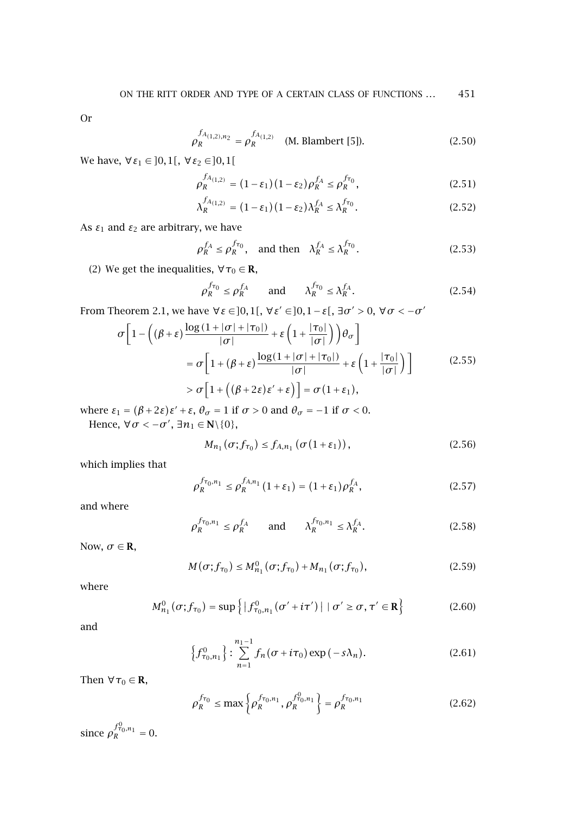Or

$$
\rho_R^{f_{A_{(1,2),n_2}}} = \rho_R^{f_{A_{(1,2)}}} \quad \text{(M. Blambert [5])}. \tag{2.50}
$$

 $We have, ∀ ε<sub>1</sub> ∈ ]0,1[, ∀ ε<sub>2</sub> ∈ ]0,1[$ 

$$
\rho_R^{f_{A_{(1,2)}}} = (1 - \varepsilon_1)(1 - \varepsilon_2)\rho_R^{f_A} \le \rho_R^{f_{\tau_0}},\tag{2.51}
$$

$$
\lambda_R^{f_{A_{(1,2)}}} = (1 - \varepsilon_1)(1 - \varepsilon_2)\lambda_R^{f_A} \le \lambda_R^{f_{\tau_0}}.
$$
 (2.52)

As  $\varepsilon_1$  and  $\varepsilon_2$  are arbitrary, we have

$$
\rho_R^{f_A} \le \rho_R^{f_{\tau_0}}, \quad \text{and then} \quad \lambda_R^{f_A} \le \lambda_R^{f_{\tau_0}}.
$$
 (2.53)

(2) We get the inequalities,  $\forall \tau_0 \in \mathbf{R}$ ,

$$
\rho_R^{f_{\tau_0}} \le \rho_R^{f_A} \qquad \text{and} \qquad \lambda_R^{f_{\tau_0}} \le \lambda_R^{f_A}.\tag{2.54}
$$

From [Theorem 2.1,](#page-2-0) we have  $\forall$  *ε* ∈ ]0, 1[,  $\forall$  *ε'* ∈ ]0, 1 − *ε*[,  $\exists$  *σ'* > 0,  $\forall$  *σ* < −*σ'* 

$$
\sigma \left[ 1 - \left( (\beta + \varepsilon) \frac{\log (1 + |\sigma| + |\tau_0|)}{|\sigma|} + \varepsilon \left( 1 + \frac{|\tau_0|}{|\sigma|} \right) \right) \theta_{\sigma} \right]
$$
  
\n
$$
= \sigma \left[ 1 + (\beta + \varepsilon) \frac{\log (1 + |\sigma| + |\tau_0|)}{|\sigma|} + \varepsilon \left( 1 + \frac{|\tau_0|}{|\sigma|} \right) \right]
$$
  
\n
$$
> \sigma \left[ 1 + \left( (\beta + 2\varepsilon)\varepsilon' + \varepsilon \right) \right] = \sigma (1 + \varepsilon_1),
$$
\n(2.55)

where  $\varepsilon_1 = (\beta + 2\varepsilon)\varepsilon' + \varepsilon$ ,  $\theta_{\sigma} = 1$  if  $\sigma > 0$  and  $\theta_{\sigma} = -1$  if  $\sigma < 0$ .

Hence,  $\forall \sigma < -\sigma'$ ,  $\exists n_1 \in \mathbb{N} \setminus \{0\}$ ,

$$
M_{n_1}(\sigma; f_{\tau_0}) \le f_{A,n_1}(\sigma(1+\varepsilon_1)), \qquad (2.56)
$$

which implies that

$$
\rho_R^{f_{\tau_0,n_1}} \le \rho_R^{f_{A,n_1}}(1+\varepsilon_1) = (1+\varepsilon_1)\rho_R^{f_A},\tag{2.57}
$$

and where

$$
\rho_R^{f_{\tau_0,n_1}} \le \rho_R^{f_A} \qquad \text{and} \qquad \lambda_R^{f_{\tau_0,n_1}} \le \lambda_R^{f_A}.\tag{2.58}
$$

Now,  $\sigma \in \mathbf{R}$ ,

$$
M(\sigma; f_{\tau_0}) \le M_{n_1}^0(\sigma; f_{\tau_0}) + M_{n_1}(\sigma; f_{\tau_0}), \qquad (2.59)
$$

where

$$
M_{n_1}^0(\sigma; f_{\tau_0}) = \sup \{ |f_{\tau_0,n_1}^0(\sigma' + i\tau')| \mid \sigma' \ge \sigma, \tau' \in \mathbf{R} \}
$$
 (2.60)

and

$$
\left\{f_{\tau_0,n_1}^0\right\} : \sum_{n=1}^{n_1-1} f_n(\sigma + i\tau_0) \exp(-s\lambda_n).
$$
 (2.61)

Then  $\forall \tau_0 \in \mathbf{R}$ ,

$$
\rho_R^{f_{\tau_0}} \le \max \left\{ \rho_R^{f_{\tau_0, n_1}}, \rho_R^{f_{\tau_0, n_1}^0} \right\} = \rho_R^{f_{\tau_0, n_1}} \tag{2.62}
$$

since  $\rho_R^{f_{\tau_0,n_1}^0} = 0$ .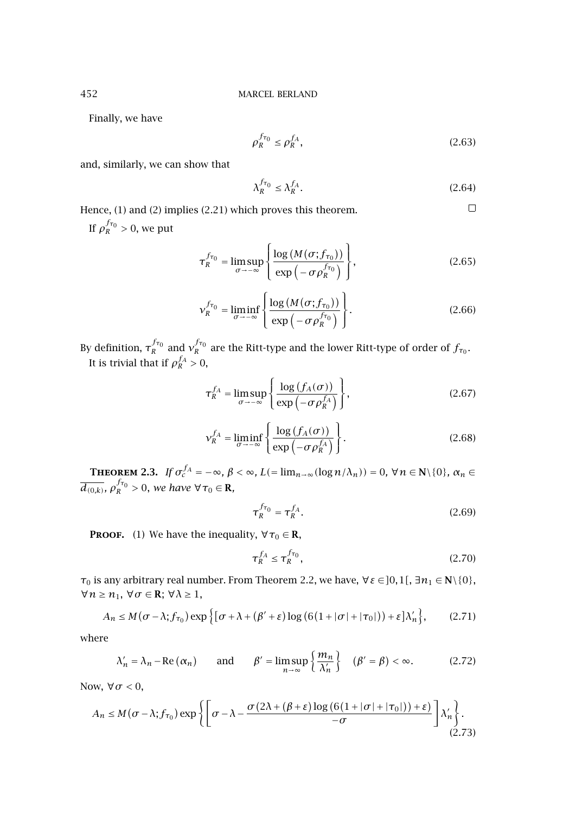Finally, we have

$$
\rho_R^{f_{\tau_0}} \le \rho_R^{f_A},\tag{2.63}
$$

and, similarly, we can show that

$$
\lambda_R^{f_{\tau_0}} \le \lambda_R^{f_A}.\tag{2.64}
$$

 $\Box$ 

Hence, (1) and (2) implies [\(2.21\)](#page-3-0) which proves this theorem. If  $\rho_R^{f_{\tau_0}} > 0$ , we put

$$
\tau_R^{f_{\tau_0}} = \limsup_{\sigma \to -\infty} \left\{ \frac{\log \left( M(\sigma; f_{\tau_0}) \right)}{\exp \left( -\sigma \rho_R^{f_{\tau_0}} \right)} \right\},\tag{2.65}
$$

$$
v_R^{f_{\tau_0}} = \liminf_{\sigma \to -\infty} \left\{ \frac{\log \left( M(\sigma; f_{\tau_0}) \right)}{\exp \left( -\sigma \rho_R^{f_{\tau_0}} \right)} \right\}.
$$
 (2.66)

By definition,  $\tau_R^{f\tau_0}$  and  $v_R^{f\tau_0}$  are the Ritt-type and the lower Ritt-type of order of  $f_{\tau_0}$ . It is trivial that if  $\rho_R^{f_A} > 0$ ,

$$
\tau_R^{f_A} = \limsup_{\sigma \to -\infty} \left\{ \frac{\log \left( f_A(\sigma) \right)}{\exp \left( -\sigma \rho_R^{f_A} \right)} \right\},\tag{2.67}
$$

$$
\mathcal{V}_R^{f_A} = \liminf_{\sigma \to -\infty} \left\{ \frac{\log \left( f_A(\sigma) \right)}{\exp \left( -\sigma \rho_R^{f_A} \right)} \right\}.
$$
 (2.68)

**THEOREM 2.3.** *If*  $\sigma_c^{f_A} = -\infty$ *,*  $\beta < \infty$ *,*  $L(=\lim_{n\to\infty} (\log n/\lambda_n)) = 0$ ,  $\forall n \in \mathbb{N} \setminus \{0\}$ *,*  $\alpha_n \in$  $\overline{d_{(0,k)}}$ *,*  $\rho_R^{f_{\tau_0}} > 0$ *, we have*  $\forall \tau_0 \in \mathbf{R}$ *,* 

$$
\tau_R^{f_{\tau_0}} = \tau_R^{f_A}.\tag{2.69}
$$

**PROOF.** (1) We have the inequality,  $\forall \tau_0 \in \mathbb{R}$ ,

$$
\tau_R^{f_A} \le \tau_R^{f_{\tau_0}},\tag{2.70}
$$

*τ*<sub>0</sub> is any arbitrary real number. From [Theorem 2.2,](#page-3-0) we have,  $∀ε ∈ ]0,1[$ ,  $∃n₁ ∈ ℕ$  ${0}$ , ∀*n* ≥ *n*1, ∀*σ* ∈ **R**; ∀*λ* ≥ 1,

$$
A_n \le M(\sigma - \lambda; f_{\tau_0}) \exp\left\{ \left[ \sigma + \lambda + (\beta' + \varepsilon) \log \left( 6(1 + |\sigma| + |\tau_0|) \right) + \varepsilon \right] \lambda'_n \right\},\tag{2.71}
$$

where

$$
\lambda'_{n} = \lambda_{n} - \text{Re}\left(\alpha_{n}\right) \quad \text{and} \quad \beta' = \limsup_{n \to \infty} \left\{\frac{m_{n}}{\lambda'_{n}}\right\} \quad (\beta' = \beta) < \infty. \tag{2.72}
$$

Now, ∀*σ <* 0,

$$
A_n \le M(\sigma - \lambda; f_{\tau_0}) \exp \left\{ \left[ \sigma - \lambda - \frac{\sigma(2\lambda + (\beta + \varepsilon) \log (6(1 + |\sigma| + |\tau_0|)) + \varepsilon)}{-\sigma} \right] \lambda'_n \right\}.
$$
\n(2.73)

<span id="page-7-0"></span>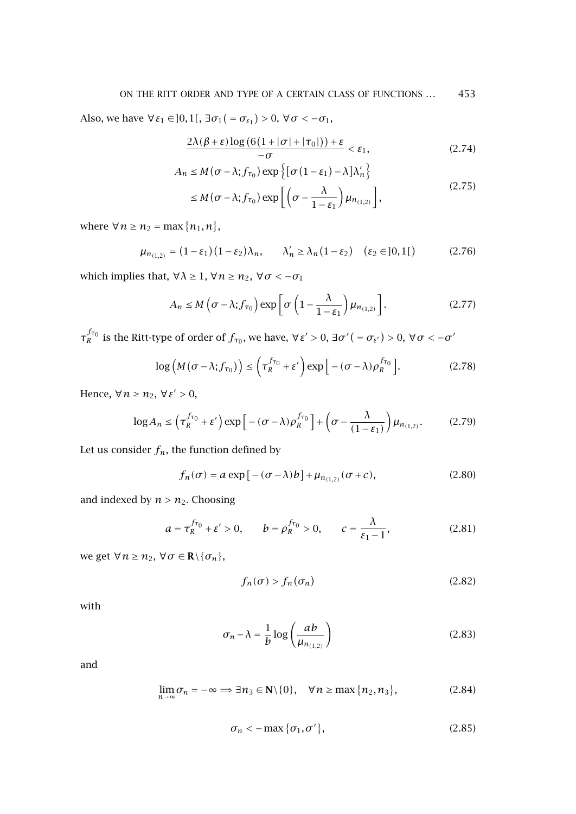Also, we have  $\forall \varepsilon_1 \in ]0,1[$ ,  $\exists \sigma_1 ( = \sigma_{\varepsilon_1}) > 0$ ,  $\forall \sigma < -\sigma_1$ ,

$$
\frac{2\lambda(\beta+\varepsilon)\log\big(6\big(1+|\sigma|+|\tau_0|\big)\big)+\varepsilon}{-\sigma}<\varepsilon_1,\tag{2.74}
$$

$$
A_n \le M(\sigma - \lambda; f_{\tau_0}) \exp\left\{ [\sigma (1 - \varepsilon_1) - \lambda] \lambda'_n \right\}
$$
\n
$$
\left[ (\sigma \lambda)^n \right] \tag{2.75}
$$

$$
\leq M(\sigma-\lambda;f_{\tau_0})\exp\left[\left(\sigma-\frac{\lambda}{1-\varepsilon_1}\right)\mu_{n_{(1,2)}}\right],\tag{2.7.5}
$$

where  $\forall n \geq n_2 = \max\{n_1, n\},\$ 

$$
\mu_{n_{(1,2)}} = (1 - \varepsilon_1)(1 - \varepsilon_2)\lambda_n, \qquad \lambda'_n \ge \lambda_n(1 - \varepsilon_2) \quad (\varepsilon_2 \in ]0,1[)
$$
 (2.76)

which implies that,  $\forall \lambda \geq 1$ ,  $\forall n \geq n_2$ ,  $\forall \sigma < -\sigma_1$ 

$$
A_n \le M\left(\sigma - \lambda; f_{\tau_0}\right) \exp\left[\sigma\left(1 - \frac{\lambda}{1 - \varepsilon_1}\right) \mu_{n_{(1,2)}}\right].
$$
 (2.77)

*τ*<sub>*R*</sub><sup>*fτ*<sub>0</sub></sub> is the Ritt-type of order of  $f_{\tau_0}$ , we have,  $\forall$  ε´ > 0, ∃*σ*´ ( =  $\sigma_{\varepsilon'}$ ) > 0,  $\forall$   $\sigma$  <  $-\sigma'$ </sup>

$$
\log\left(M(\sigma-\lambda;f_{\tau_0})\right) \le \left(\tau_R^{f_{\tau_0}} + \varepsilon'\right) \exp\left[-(\sigma-\lambda)\rho_R^{f_{\tau_0}}\right].
$$
 (2.78)

Hence,  $\forall n \geq n_2$ ,  $\forall \varepsilon' > 0$ ,

$$
\log A_n \le \left(\tau_R^{f_{\tau_0}} + \varepsilon'\right) \exp\left[-\left(\sigma - \lambda\right)\rho_R^{f_{\tau_0}}\right] + \left(\sigma - \frac{\lambda}{(1 - \varepsilon_1)}\right) \mu_{n_{(1,2)}}.\tag{2.79}
$$

Let us consider  $f_n$ , the function defined by

$$
f_n(\sigma) = a \exp\left[-(\sigma - \lambda)b\right] + \mu_{n_{(1,2)}}(\sigma + c),\tag{2.80}
$$

and indexed by  $n > n_2$ . Choosing

$$
a = \tau_R^{f_{\tau_0}} + \varepsilon' > 0, \qquad b = \rho_R^{f_{\tau_0}} > 0, \qquad c = \frac{\lambda}{\varepsilon_1 - 1}, \tag{2.81}
$$

we get  $\forall n \geq n_2$ ,  $\forall \sigma \in \mathbb{R} \setminus \{\sigma_n\},\$ 

$$
f_n(\sigma) > f_n(\sigma_n) \tag{2.82}
$$

with

$$
\sigma_n - \lambda = \frac{1}{b} \log \left( \frac{ab}{\mu_{n_{(1,2)}}} \right) \tag{2.83}
$$

and

$$
\lim_{n \to \infty} \sigma_n = -\infty \implies \exists n_3 \in \mathbb{N} \setminus \{0\}, \quad \forall n \ge \max\{n_2, n_3\},\tag{2.84}
$$

$$
\sigma_n < -\max\{\sigma_1, \sigma'\},\tag{2.85}
$$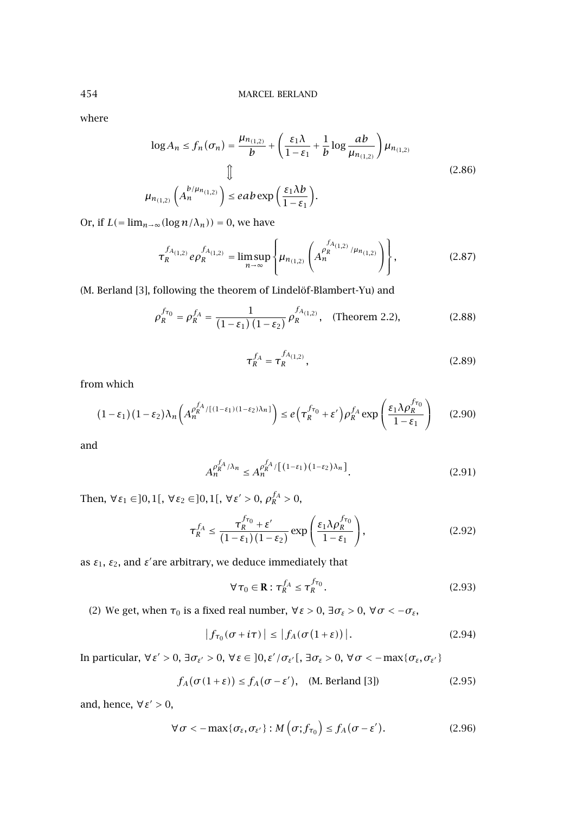where

$$
\log A_n \le f_n(\sigma_n) = \frac{\mu_{n_{(1,2)}}}{b} + \left(\frac{\varepsilon_1 \lambda}{1 - \varepsilon_1} + \frac{1}{b} \log \frac{ab}{\mu_{n_{(1,2)}}}\right) \mu_{n_{(1,2)}}
$$
  

$$
\downarrow \qquad \qquad \downarrow
$$
  

$$
\mu_{n_{(1,2)}}\left(A_n^{b/\mu_{n_{(1,2)}}}\right) \le eab \exp\left(\frac{\varepsilon_1 \lambda b}{1 - \varepsilon_1}\right).
$$
 (2.86)

Or, if  $L(=\lim_{n\to\infty} (\log n/\lambda_n))=0$ , we have

$$
\tau_R^{f_{A_{(1,2)}}} e\rho_R^{f_{A_{(1,2)}}} = \limsup_{n \to \infty} \left\{ \mu_{n_{(1,2)}} \left( A_n^{f_{A_{(1,2)}}} / \mu_{n_{(1,2)}} \right) \right\},
$$
\n(2.87)

(M. Berland [\[3\]](#page-12-0), following the theorem of Lindelöf-Blambert-Yu) and

$$
\rho_R^{f_{\tau_0}} = \rho_R^{f_A} = \frac{1}{(1 - \varepsilon_1) (1 - \varepsilon_2)} \rho_R^{f_{A_{(1,2)}}}, \quad \text{(Theorem 2.2)}, \tag{2.88}
$$

$$
\tau_R^{f_A} = \tau_R^{f_{A(1,2)}},\tag{2.89}
$$

from which

$$
(1 - \varepsilon_1)(1 - \varepsilon_2)\lambda_n\left(A_n^{\rho_R^{f_A}/[(1 - \varepsilon_1)(1 - \varepsilon_2)\lambda_n]}\right) \le e\left(\tau_R^{f_{\tau_0}} + \varepsilon'\right)\rho_R^{f_A} \exp\left(\frac{\varepsilon_1\lambda\rho_R^{f_{\tau_0}}}{1 - \varepsilon_1}\right) \tag{2.90}
$$

and

$$
A_n^{\rho_R^{f_A}/\lambda_n} \le A_n^{\rho_R^{f_A}/[(1-\varepsilon_1)(1-\varepsilon_2)\lambda_n]}.
$$
\n(2.91)

Then,  $∀ε₁ ∈ ]0,1[$ ,  $∀ε₂ ∈ ]0,1[$ ,  $∀ε' > 0$ ,  $ρ_R^{f_A} > 0$ ,

$$
\tau_R^{f_A} \le \frac{\tau_R^{f_{\tau_0}} + \varepsilon'}{(1 - \varepsilon_1)(1 - \varepsilon_2)} \exp\left(\frac{\varepsilon_1 \lambda \rho_R^{f_{\tau_0}}}{1 - \varepsilon_1}\right),\tag{2.92}
$$

as  $\varepsilon_1$ ,  $\varepsilon_2$ , and  $\varepsilon'$  are arbitrary, we deduce immediately that

$$
\forall \tau_0 \in \mathbf{R} : \tau_R^{f_A} \le \tau_R^{f_{\tau_0}}.
$$
\n(2.93)

(2) We get, when  $τ_0$  is a fixed real number,  $∀ε > 0$ ,  $∃σ_ε > 0$ ,  $∀ σ < −σ_ε$ ,

$$
\left|f_{\tau_0}(\sigma + i\tau)\right| \le \left|f_A(\sigma(1+\varepsilon))\right|.\tag{2.94}
$$

In particular, ∀*ε >* 0, ∃*σε >* 0, ∀*ε* ∈ *]*0*, ε /σε [*, ∃*σε >* 0, ∀*σ <* −max{*σε,σε*}

$$
f_A(\sigma(1+\varepsilon)) \le f_A(\sigma - \varepsilon'), \quad \text{(M. Berland [3])} \tag{2.95}
$$

and, hence, ∀*ε >* 0,

$$
\forall \sigma < -\max\{\sigma_{\varepsilon}, \sigma_{\varepsilon'}\} : M\left(\sigma; f_{\tau_0}\right) \le f_A(\sigma - \varepsilon'). \tag{2.96}
$$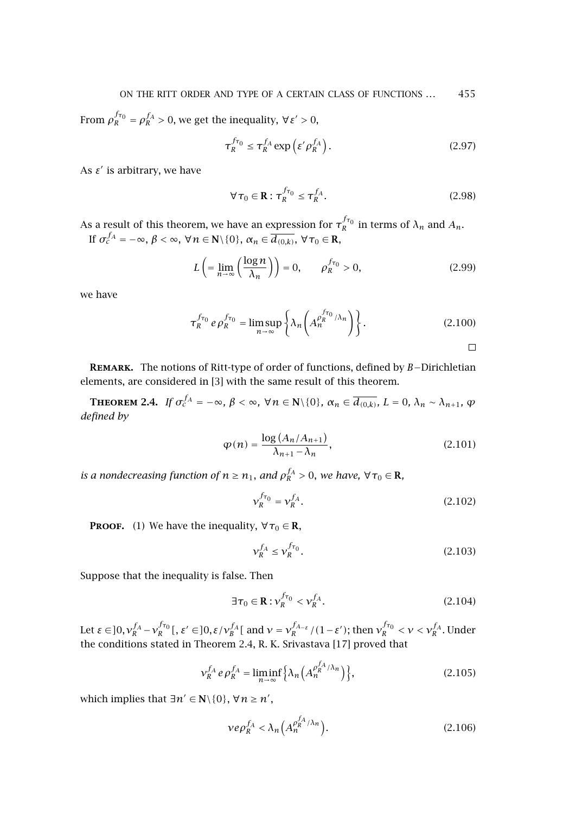From  $\rho_R^{f_{\tau_0}} = \rho_R^{f_A} > 0$ , we get the inequality,  $\forall \varepsilon' > 0$ ,

$$
\tau_R^{f_{\tau_0}} \le \tau_R^{f_A} \exp\left(\varepsilon' \rho_R^{f_A}\right). \tag{2.97}
$$

As  $\varepsilon'$  is arbitrary, we have

$$
\forall \tau_0 \in \mathbf{R} : \tau_R^{f_{\tau_0}} \le \tau_R^{f_A}.
$$
 (2.98)

As a result of this theorem, we have an expression for  $\tau_R^{f_{\tau_0}}$  in terms of  $\lambda_n$  and  $A_n$ .  $\text{If }\sigma_c^{f_A}=-\infty,\ \beta<\infty,\ \forall\,n\in\mathbf{N}\setminus\{0\},\ \alpha_n\in\overline{d_{(0,k)}},\ \forall\,\tau_0\in\mathbf{R},$ 

$$
L\left(\frac{\log n}{n-\infty}\left(\frac{\log n}{\lambda_n}\right)\right) = 0, \qquad \rho_R^{f_{\tau_0}} > 0,\tag{2.99}
$$

we have

$$
\tau_R^{f_{\tau_0}} e \rho_R^{f_{\tau_0}} = \limsup_{n \to \infty} \left\{ \lambda_n \left( A_n^{\rho_R^{f_{\tau_0}}/\lambda_n} \right) \right\}.
$$
 (2.100)

 $\Box$ 

**Remark.** The notions of Ritt-type of order of functions, defined by *B*−Dirichletian elements, are considered in [\[3\]](#page-12-0) with the same result of this theorem.

**THEOREM 2.4.** If  $\sigma_c^{f_A} = -\infty$ ,  $\beta < \infty$ ,  $\forall n \in \mathbb{N} \setminus \{0\}$ ,  $\alpha_n \in \overline{d_{(0,k)}}$ ,  $L = 0$ ,  $\lambda_n \sim \lambda_{n+1}$ ,  $\varphi$ *defined by*

$$
\varphi(n) = \frac{\log (A_n / A_{n+1})}{\lambda_{n+1} - \lambda_n},\tag{2.101}
$$

*is a nondecreasing function of*  $n \geq n_1$ *, and*  $\rho_R^{f_A} > 0$ *, we have,*  $\forall \tau_0 \in \mathbb{R}$ *,* 

$$
v_R^{f_{\tau_0}} = v_R^{f_A}.
$$
\n(2.102)

**PROOF.** (1) We have the inequality,  $\forall \tau_0 \in \mathbb{R}$ ,

$$
\mathcal{V}_R^{f_A} \le \mathcal{V}_R^{f_{\tau_0}}.\tag{2.103}
$$

Suppose that the inequality is false. Then

$$
\exists \tau_0 \in \mathbf{R} : \mathbf{v}_R^{f_{\tau_0}} < \mathbf{v}_R^{f_A}.\tag{2.104}
$$

Let  $\varepsilon \in ]0, v_R^{f_A} - v_R^{f_{\tau_0}}[$ ,  $\varepsilon' \in ]0, \varepsilon / v_B^{f_A} [$  and  $v = v_R^{f_{A-\varepsilon}}/(1-\varepsilon')$ ; then  $v_R^{f_{\tau_0}} < v < v_R^{f_A}$ . Under the conditions stated in Theorem 2.4, R. K. Srivastava [\[17\]](#page-13-0) proved that

$$
\mathcal{V}_R^{f_A} e \rho_R^{f_A} = \liminf_{n \to \infty} \left\{ \lambda_n \left( A_n^{\rho_R^{f_A}/\lambda_n} \right) \right\},\tag{2.105}
$$

which implies that  $\exists n' \in \mathbb{N} \setminus \{0\}$ ,  $\forall n \geq n'$ ,

$$
\nu e \rho_R^{f_A} < \lambda_n \left( A_n^{\rho_R^{f_A} / \lambda_n} \right). \tag{2.106}
$$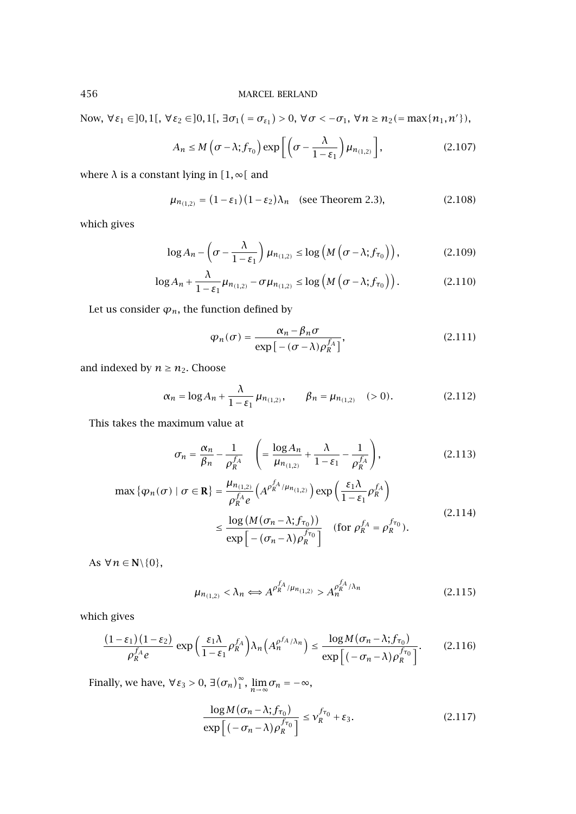Now,  $\forall \varepsilon_1 \in ]0,1[$ ,  $\forall \varepsilon_2 \in ]0,1[$ ,  $\exists \sigma_1( = \sigma_{\varepsilon_1}) > 0$ ,  $\forall \sigma < -\sigma_1$ ,  $\forall n \ge n_2( = \max\{n_1, n'\})$ ,

$$
A_n \le M\left(\sigma - \lambda; f_{\tau_0}\right) \exp\left[\left(\sigma - \frac{\lambda}{1 - \varepsilon_1}\right) \mu_{n_{(1,2)}}\right],\tag{2.107}
$$

where  $\lambda$  is a constant lying in  $[1, \infty[$  and

$$
\mu_{n_{(1,2)}} = (1 - \varepsilon_1)(1 - \varepsilon_2)\lambda_n \quad \text{(see Theorem 2.3)},\tag{2.108}
$$

which gives

$$
\log A_n - \left(\sigma - \frac{\lambda}{1 - \varepsilon_1}\right) \mu_{n_{(1,2)}} \le \log \left(M\left(\sigma - \lambda; f_{\tau_0}\right)\right),\tag{2.109}
$$

$$
\log A_n + \frac{\lambda}{1 - \varepsilon_1} \mu_{n_{(1,2)}} - \sigma \mu_{n_{(1,2)}} \le \log \left( M \left( \sigma - \lambda; f_{\tau_0} \right) \right). \tag{2.110}
$$

Let us consider  $\varphi_n$ , the function defined by

$$
\varphi_n(\sigma) = \frac{\alpha_n - \beta_n \sigma}{\exp\left[-(\sigma - \lambda)\rho_R^{f_A}\right]},\tag{2.111}
$$

and indexed by  $n \geq n_2$ . Choose

$$
\alpha_n = \log A_n + \frac{\lambda}{1 - \varepsilon_1} \mu_{n_{(1,2)}}, \qquad \beta_n = \mu_{n_{(1,2)}} \quad (>0). \tag{2.112}
$$

This takes the maximum value at

$$
\sigma_n = \frac{\alpha_n}{\beta_n} - \frac{1}{\rho_R^{f_A}} \quad \left( = \frac{\log A_n}{\mu_{n_{(1,2)}}} + \frac{\lambda}{1 - \varepsilon_1} - \frac{1}{\rho_R^{f_A}} \right),\tag{2.113}
$$

$$
\max \{ \varphi_n(\sigma) \mid \sigma \in \mathbf{R} \} = \frac{\mu_{n_{(1,2)}}}{\rho_R^{f_A} e} \left( A^{\rho_R^{f_A}/\mu_{n_{(1,2)}}} \right) \exp \left( \frac{\varepsilon_1 \lambda}{1 - \varepsilon_1} \rho_R^{f_A} \right)
$$
  

$$
\leq \frac{\log \left( M(\sigma_n - \lambda; f_{\tau_0}) \right)}{\exp \left[ -(\sigma_n - \lambda) \rho_R^{f_{\tau_0}} \right]} \quad \text{(for } \rho_R^{f_A} = \rho_R^{f_{\tau_0}} \text{).}
$$
\n(2.114)

As  $\forall n \in \mathbb{N} \backslash \{0\},\$ 

$$
\mu_{n_{(1,2)}} < \lambda_n \Longleftrightarrow A^{\rho_R^{f_A}/\mu_{n_{(1,2)}}} > A^{\rho_A^{f_A}/\lambda_n}_n \tag{2.115}
$$

which gives

$$
\frac{(1-\varepsilon_1)(1-\varepsilon_2)}{\rho_R^{f_A}e} \exp\left(\frac{\varepsilon_1 \lambda}{1-\varepsilon_1} \rho_R^{f_A}\right) \lambda_n\left(A_n^{\rho^{f_A}/\lambda_n}\right) \le \frac{\log M(\sigma_n - \lambda; f_{\tau_0})}{\exp\left[(-\sigma_n - \lambda) \rho_R^{f_{\tau_0}}\right]}.
$$
(2.116)

Finally, we have,  $\forall \varepsilon_3 > 0$ ,  $\exists (\sigma_n)_{1}^{\infty}$ ,  $\lim_{n \to \infty} \sigma_n = -\infty$ ,

$$
\frac{\log M(\sigma_n - \lambda; f_{\tau_0})}{\exp\left[(-\sigma_n - \lambda)\rho_R^{f_{\tau_0}}\right]} \le \nu_R^{f_{\tau_0}} + \varepsilon_3.
$$
\n(2.117)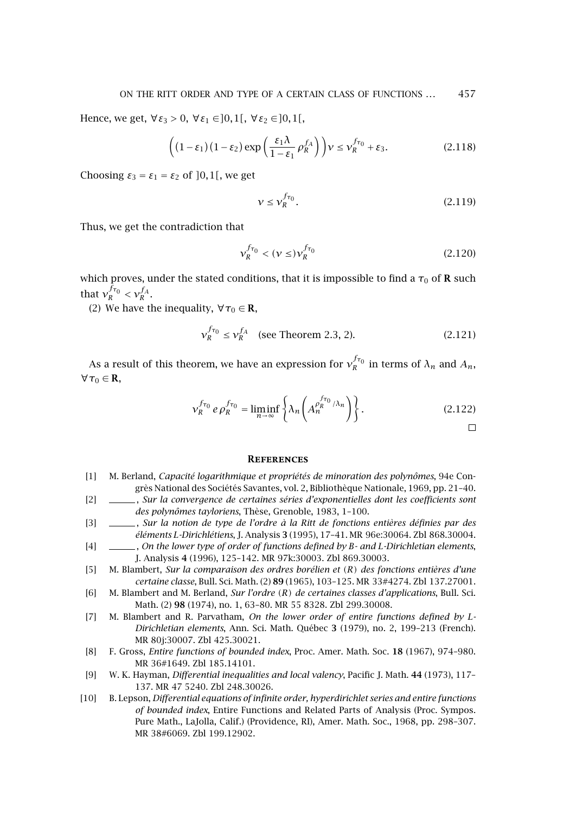<span id="page-12-0"></span>Hence, we get,  $\forall$  ε<sub>3</sub> > 0,  $\forall$  ε<sub>1</sub> ∈ ]0, 1[,  $\forall$  ε<sub>2</sub> ∈ ]0, 1[,

$$
\left( (1 - \varepsilon_1)(1 - \varepsilon_2) \exp\left(\frac{\varepsilon_1 \lambda}{1 - \varepsilon_1} \rho_R^{f_A}\right) \right) \nu \le \nu_R^{f_{\tau_0}} + \varepsilon_3. \tag{2.118}
$$

Choosing  $\varepsilon_3 = \varepsilon_1 = \varepsilon_2$  of  $]0,1[$ , we get

$$
\nu \le \nu_R^{f_{\tau_0}}.\tag{2.119}
$$

Thus, we get the contradiction that

$$
v_R^{f_{\tau_0}} < (\nu \le) v_R^{f_{\tau_0}} \tag{2.120}
$$

which proves, under the stated conditions, that it is impossible to find a  $\tau_0$  of **R** such that  $v_R^{f_{\tau_0}} < v_R^{f_A}$ .

(2) We have the inequality,  $\forall \tau_0 \in \mathbf{R}$ ,

$$
v_R^{f_{\tau_0}} \le v_R^{f_A}
$$
 (see Theorem 2.3, 2). (2.121)

As a result of this theorem, we have an expression for  $v_R^{f_{\tau_0}}$  in terms of  $\lambda_n$  and  $A_n$ ,  $\forall \tau_0 \in \mathbf{R}$ ,

$$
v_R^{f_{\tau_0}} e \rho_R^{f_{\tau_0}} = \liminf_{n \to \infty} \left\{ \lambda_n \left( A_n^{\rho_R^{f_{\tau_0}}/\lambda_n} \right) \right\}.
$$
 (2.122)

 $\Box$ 

### **References**

- [1] M. Berland, *Capacité logarithmique et propriétés de minoration des polynômes*, 94e Congrès National des Sociétés Savantes, vol. 2, Bibliothèque Nationale, 1969, pp. 21–40.
- [2] , *Sur la convergence de certaines séries d'exponentielles dont les coefficients sont des polynômes tayloriens*, Thèse, Grenoble, 1983, 1–100.
- [3] , *Sur la notion de type de l'ordre à la Ritt de fonctions entières définies par des éléments L-Dirichlétiens*, J. Analysis **3** (1995), 17–41. [MR 96e:30064.](http://www.ams.org/mathscinet-getitem?mr=96e:30064) [Zbl 868.30004.](http://www.emis.de/cgi-bin/MATH-item?868.30004)
- [4] , *On the lower type of order of functions defined by B and L-Dirichletian elements*, J. Analysis **4** (1996), 125–142. [MR 97k:30003.](http://www.ams.org/mathscinet-getitem?mr=97k:30003) [Zbl 869.30003.](http://www.emis.de/cgi-bin/MATH-item?869.30003)
- [5] M. Blambert, *Sur la comparaison des ordres borélien et (R) des fonctions entières d'une certaine classe*, Bull. Sci. Math. (2) **89** (1965), 103–125. [MR 33#4274.](http://www.ams.org/mathscinet-getitem?mr=33:4274) [Zbl 137.27001.](http://www.emis.de/cgi-bin/MATH-item?137.27001)
- [6] M. Blambert and M. Berland, *Sur l'ordre (R) de certaines classes d'applications*, Bull. Sci. Math. (2) **98** (1974), no. 1, 63–80. [MR 55 8328.](http://www.ams.org/mathscinet-getitem?mr=55:8328) [Zbl 299.30008.](http://www.emis.de/cgi-bin/MATH-item?299.30008)
- [7] M. Blambert and R. Parvatham, *On the lower order of entire functions defined by L-Dirichletian elements*, Ann. Sci. Math. Québec **3** (1979), no. 2, 199–213 (French). [MR 80j:30007.](http://www.ams.org/mathscinet-getitem?mr=80j:30007) [Zbl 425.30021.](http://www.emis.de/cgi-bin/MATH-item?425.30021)
- [8] F. Gross, *Entire functions of bounded index*, Proc. Amer. Math. Soc. **18** (1967), 974–980. [MR 36#1649.](http://www.ams.org/mathscinet-getitem?mr=36:1649) [Zbl 185.14101.](http://www.emis.de/cgi-bin/MATH-item?185.14101)
- [9] W. K. Hayman, *Differential inequalities and local valency*, Pacific J. Math. **44** (1973), 117– 137. [MR 47 5240.](http://www.ams.org/mathscinet-getitem?mr=47:5240) [Zbl 248.30026.](http://www.emis.de/cgi-bin/MATH-item?248.30026)
- [10] B. Lepson, *Differential equations of infinite order, hyperdirichlet series and entire functions of bounded index*, Entire Functions and Related Parts of Analysis (Proc. Sympos. Pure Math., LaJolla, Calif.) (Providence, RI), Amer. Math. Soc., 1968, pp. 298–307. [MR 38#6069.](http://www.ams.org/mathscinet-getitem?mr=38:6069) [Zbl 199.12902.](http://www.emis.de/cgi-bin/MATH-item?199.12902)